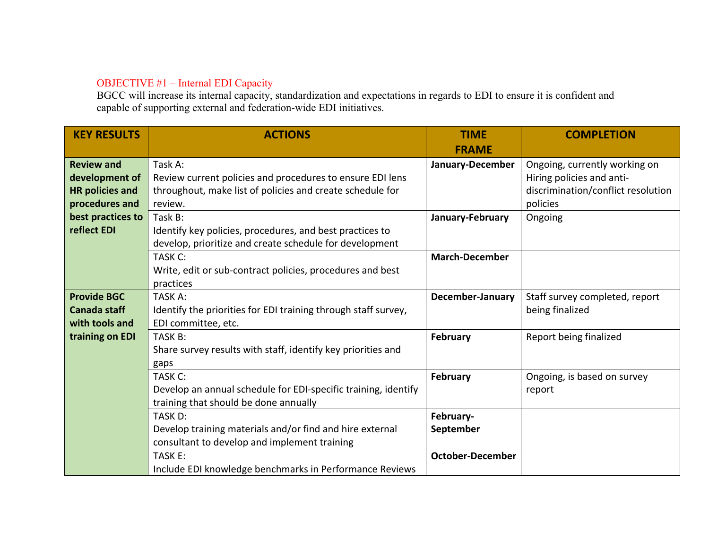## OBJECTIVE #1 – Internal EDI Capacity

BGCC will increase its internal capacity, standardization and expectations in regards to EDI to ensure it is confident and capable of supporting external and federation-wide EDI initiatives.

| <b>KEY RESULTS</b>     | <b>ACTIONS</b>                                                 | <b>TIME</b>             | <b>COMPLETION</b>                  |
|------------------------|----------------------------------------------------------------|-------------------------|------------------------------------|
|                        |                                                                | <b>FRAME</b>            |                                    |
| <b>Review and</b>      | Task A:                                                        | January-December        | Ongoing, currently working on      |
| development of         | Review current policies and procedures to ensure EDI lens      |                         | Hiring policies and anti-          |
| <b>HR policies and</b> | throughout, make list of policies and create schedule for      |                         | discrimination/conflict resolution |
| procedures and         | review.                                                        |                         | policies                           |
| best practices to      | Task B:                                                        | January-February        | Ongoing                            |
| reflect EDI            | Identify key policies, procedures, and best practices to       |                         |                                    |
|                        | develop, prioritize and create schedule for development        |                         |                                    |
|                        | TASK C:                                                        | <b>March-December</b>   |                                    |
|                        | Write, edit or sub-contract policies, procedures and best      |                         |                                    |
|                        | practices                                                      |                         |                                    |
| <b>Provide BGC</b>     | TASK A:                                                        | <b>December-January</b> | Staff survey completed, report     |
| <b>Canada staff</b>    | Identify the priorities for EDI training through staff survey, |                         | being finalized                    |
| with tools and         | EDI committee, etc.                                            |                         |                                    |
| training on EDI        | TASK B:                                                        | February                | Report being finalized             |
|                        | Share survey results with staff, identify key priorities and   |                         |                                    |
|                        | gaps                                                           |                         |                                    |
|                        | TASK C:                                                        | <b>February</b>         | Ongoing, is based on survey        |
|                        | Develop an annual schedule for EDI-specific training, identify |                         | report                             |
|                        | training that should be done annually                          |                         |                                    |
|                        | TASK D:                                                        | February-               |                                    |
|                        | Develop training materials and/or find and hire external       | September               |                                    |
|                        | consultant to develop and implement training                   |                         |                                    |
|                        | TASK E:                                                        | <b>October-December</b> |                                    |
|                        | Include EDI knowledge benchmarks in Performance Reviews        |                         |                                    |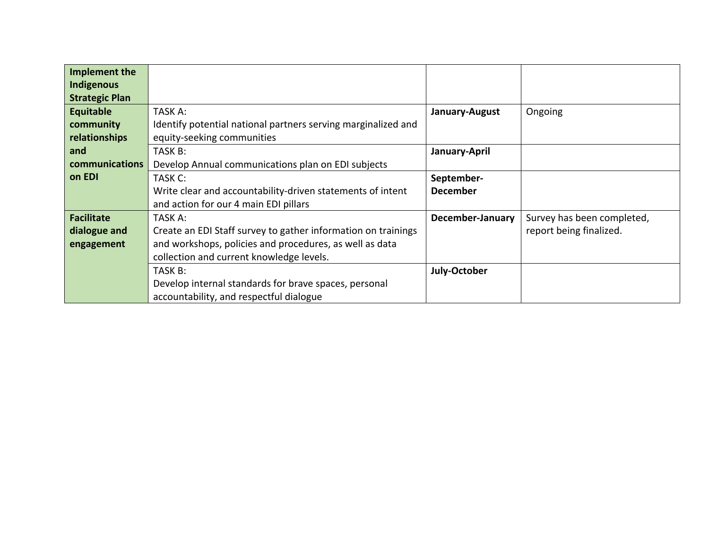| Implement the         |                                                               |                  |                            |
|-----------------------|---------------------------------------------------------------|------------------|----------------------------|
| <b>Indigenous</b>     |                                                               |                  |                            |
| <b>Strategic Plan</b> |                                                               |                  |                            |
| Equitable             | TASK A:                                                       | January-August   | Ongoing                    |
| community             | Identify potential national partners serving marginalized and |                  |                            |
| relationships         | equity-seeking communities                                    |                  |                            |
| and                   | TASK B:                                                       | January-April    |                            |
| communications        | Develop Annual communications plan on EDI subjects            |                  |                            |
| on EDI                | TASK C:                                                       | September-       |                            |
|                       | Write clear and accountability-driven statements of intent    | <b>December</b>  |                            |
|                       | and action for our 4 main EDI pillars                         |                  |                            |
| <b>Facilitate</b>     | TASK A:                                                       | December-January | Survey has been completed, |
| dialogue and          | Create an EDI Staff survey to gather information on trainings |                  | report being finalized.    |
| engagement            | and workshops, policies and procedures, as well as data       |                  |                            |
|                       | collection and current knowledge levels.                      |                  |                            |
|                       | TASK B:                                                       | July-October     |                            |
|                       | Develop internal standards for brave spaces, personal         |                  |                            |
|                       | accountability, and respectful dialogue                       |                  |                            |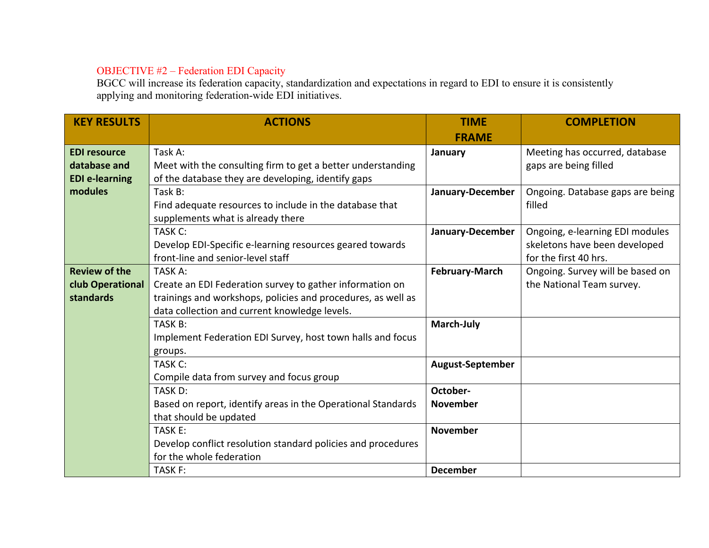## OBJECTIVE #2 – Federation EDI Capacity

BGCC will increase its federation capacity, standardization and expectations in regard to EDI to ensure it is consistently applying and monitoring federation-wide EDI initiatives.

| <b>KEY RESULTS</b>    | <b>ACTIONS</b>                                               | <b>TIME</b>             | <b>COMPLETION</b>                |
|-----------------------|--------------------------------------------------------------|-------------------------|----------------------------------|
|                       |                                                              | <b>FRAME</b>            |                                  |
| <b>EDI resource</b>   | Task A:                                                      | January                 | Meeting has occurred, database   |
| database and          | Meet with the consulting firm to get a better understanding  |                         | gaps are being filled            |
| <b>EDI</b> e-learning | of the database they are developing, identify gaps           |                         |                                  |
| modules               | Task B:                                                      | January-December        | Ongoing. Database gaps are being |
|                       | Find adequate resources to include in the database that      |                         | filled                           |
|                       | supplements what is already there                            |                         |                                  |
|                       | TASK C:                                                      | January-December        | Ongoing, e-learning EDI modules  |
|                       | Develop EDI-Specific e-learning resources geared towards     |                         | skeletons have been developed    |
|                       | front-line and senior-level staff                            |                         | for the first 40 hrs.            |
| <b>Review of the</b>  | TASK A:                                                      | <b>February-March</b>   | Ongoing. Survey will be based on |
| club Operational      | Create an EDI Federation survey to gather information on     |                         | the National Team survey.        |
| standards             | trainings and workshops, policies and procedures, as well as |                         |                                  |
|                       | data collection and current knowledge levels.                |                         |                                  |
|                       | TASK B:                                                      | March-July              |                                  |
|                       | Implement Federation EDI Survey, host town halls and focus   |                         |                                  |
|                       | groups.                                                      |                         |                                  |
|                       | TASK C:                                                      | <b>August-September</b> |                                  |
|                       | Compile data from survey and focus group                     |                         |                                  |
|                       | TASK D:                                                      | October-                |                                  |
|                       | Based on report, identify areas in the Operational Standards | <b>November</b>         |                                  |
|                       | that should be updated                                       |                         |                                  |
|                       | TASK E:                                                      | <b>November</b>         |                                  |
|                       | Develop conflict resolution standard policies and procedures |                         |                                  |
|                       | for the whole federation                                     |                         |                                  |
|                       | TASK F:                                                      | <b>December</b>         |                                  |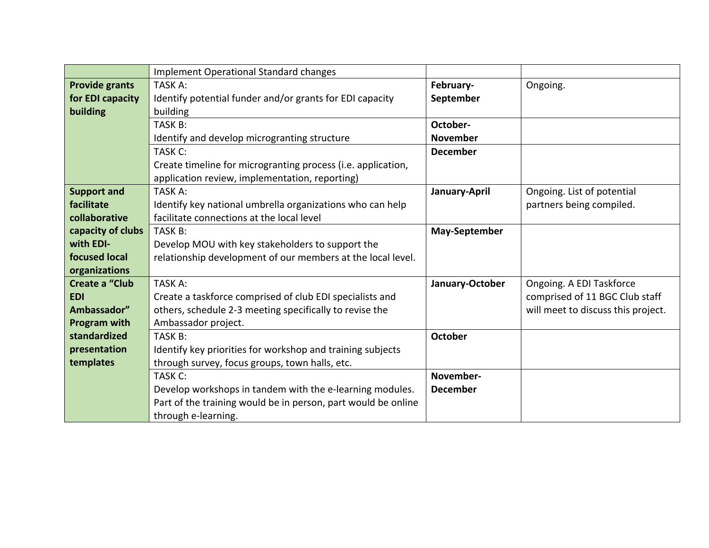|                       | <b>Implement Operational Standard changes</b>                 |                      |                                    |
|-----------------------|---------------------------------------------------------------|----------------------|------------------------------------|
| <b>Provide grants</b> | TASK A:                                                       | February-            | Ongoing.                           |
| for EDI capacity      | Identify potential funder and/or grants for EDI capacity      | September            |                                    |
| building              | building                                                      |                      |                                    |
|                       | TASK B:                                                       | October-             |                                    |
|                       | Identify and develop microgranting structure                  | <b>November</b>      |                                    |
|                       | TASK C:                                                       | <b>December</b>      |                                    |
|                       | Create timeline for microgranting process (i.e. application,  |                      |                                    |
|                       | application review, implementation, reporting)                |                      |                                    |
| <b>Support and</b>    | TASK A:                                                       | January-April        | Ongoing. List of potential         |
| facilitate            | Identify key national umbrella organizations who can help     |                      | partners being compiled.           |
| collaborative         | facilitate connections at the local level                     |                      |                                    |
| capacity of clubs     | TASK B:                                                       | <b>May-September</b> |                                    |
| with EDI-             | Develop MOU with key stakeholders to support the              |                      |                                    |
| focused local         | relationship development of our members at the local level.   |                      |                                    |
| organizations         |                                                               |                      |                                    |
| <b>Create a "Club</b> | TASK A:                                                       | January-October      | Ongoing. A EDI Taskforce           |
| <b>EDI</b>            | Create a taskforce comprised of club EDI specialists and      |                      | comprised of 11 BGC Club staff     |
| Ambassador"           | others, schedule 2-3 meeting specifically to revise the       |                      | will meet to discuss this project. |
| <b>Program with</b>   | Ambassador project.                                           |                      |                                    |
| standardized          | TASK B:                                                       | October              |                                    |
| presentation          | Identify key priorities for workshop and training subjects    |                      |                                    |
| templates             | through survey, focus groups, town halls, etc.                |                      |                                    |
|                       | TASK C:                                                       | November-            |                                    |
|                       | Develop workshops in tandem with the e-learning modules.      | <b>December</b>      |                                    |
|                       | Part of the training would be in person, part would be online |                      |                                    |
|                       | through e-learning.                                           |                      |                                    |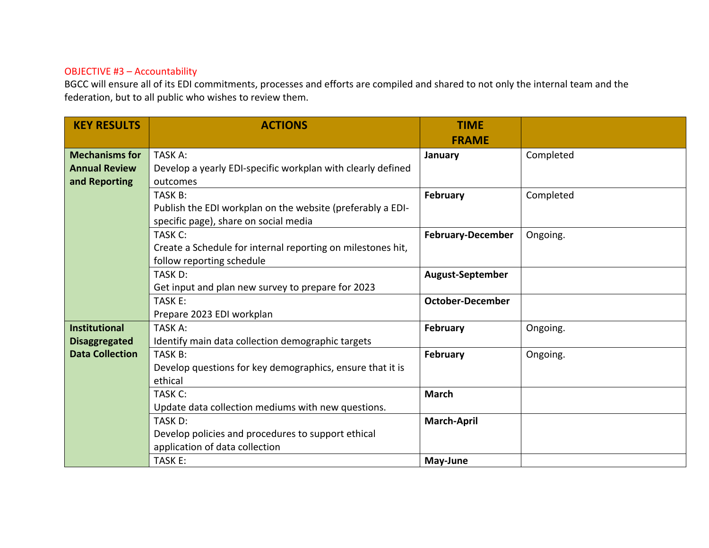## OBJECTIVE #3 – Accountability

BGCC will ensure all of its EDI commitments, processes and efforts are compiled and shared to not only the internal team and the federation, but to all public who wishes to review them.

| <b>KEY RESULTS</b>     | <b>ACTIONS</b>                                              | <b>TIME</b>              |           |
|------------------------|-------------------------------------------------------------|--------------------------|-----------|
|                        |                                                             | <b>FRAME</b>             |           |
| <b>Mechanisms for</b>  | TASK A:                                                     | January                  | Completed |
| <b>Annual Review</b>   | Develop a yearly EDI-specific workplan with clearly defined |                          |           |
| and Reporting          | outcomes                                                    |                          |           |
|                        | TASK B:                                                     | February                 | Completed |
|                        | Publish the EDI workplan on the website (preferably a EDI-  |                          |           |
|                        | specific page), share on social media                       |                          |           |
|                        | TASK C:                                                     | <b>February-December</b> | Ongoing.  |
|                        | Create a Schedule for internal reporting on milestones hit, |                          |           |
|                        | follow reporting schedule                                   |                          |           |
|                        | TASK D:                                                     | <b>August-September</b>  |           |
|                        | Get input and plan new survey to prepare for 2023           |                          |           |
|                        | TASK E:                                                     | <b>October-December</b>  |           |
|                        | Prepare 2023 EDI workplan                                   |                          |           |
| <b>Institutional</b>   | TASK A:                                                     | February                 | Ongoing.  |
| <b>Disaggregated</b>   | Identify main data collection demographic targets           |                          |           |
| <b>Data Collection</b> | TASK B:                                                     | February                 | Ongoing.  |
|                        | Develop questions for key demographics, ensure that it is   |                          |           |
|                        | ethical                                                     |                          |           |
|                        | TASK C:                                                     | <b>March</b>             |           |
|                        | Update data collection mediums with new questions.          |                          |           |
|                        | TASK D:                                                     | <b>March-April</b>       |           |
|                        | Develop policies and procedures to support ethical          |                          |           |
|                        | application of data collection                              |                          |           |
|                        | TASK E:                                                     | May-June                 |           |